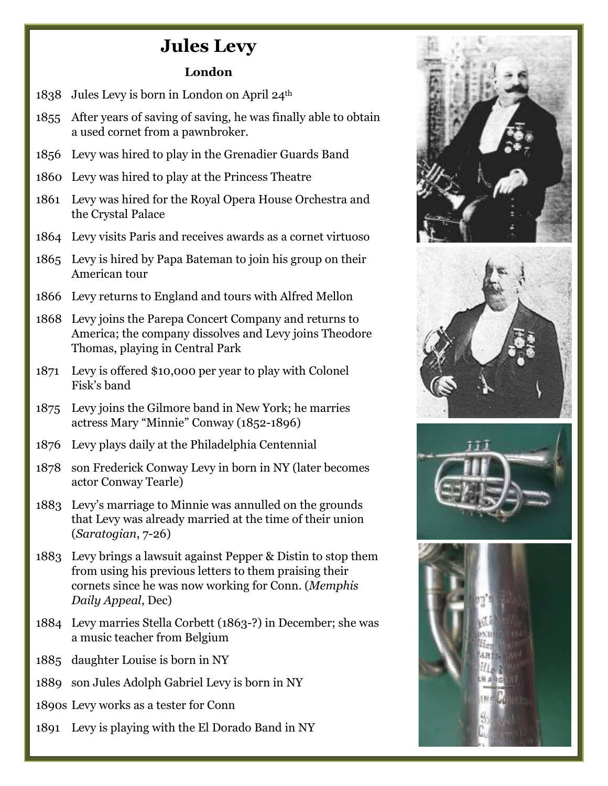## **Jules Levy**

## **London**

- 1838 Jules Levy is born in London on April 24th
- 1855 After years of saving of saving, he was finally able to obtain a used cornet from a pawnbroker.
- 1856 Levy was hired to play in the Grenadier Guards Band
- 1860 Levy was hired to play at the Princess Theatre
- 1861 Levy was hired for the Royal Opera House Orchestra and the Crystal Palace
- 1864 Levy visits Paris and receives awards as a cornet virtuoso
- 1865 Levy is hired by Papa Bateman to join his group on their American tour
- 1866 Levy returns to England and tours with Alfred Mellon
- 1868 Levy joins the Parepa Concert Company and returns to America; the company dissolves and Levy joins Theodore Thomas, playing in Central Park
- 1871 Levy is offered \$10,000 per year to play with Colonel Fisk's band
- 1875 Levy joins the Gilmore band in New York; he marries actress Mary "Minnie" Conway (1852-1896)
- 1876 Levy plays daily at the Philadelphia Centennial
- 1878 son Frederick Conway Levy in born in NY (later becomes actor Conway Tearle)
- 1883 Levy's marriage to Minnie was annulled on the grounds that Levy was already married at the time of their union (*Saratogian*, 7-26)
- 1883 Levy brings a lawsuit against Pepper & Distin to stop them from using his previous letters to them praising their cornets since he was now working for Conn. (*Memphis Daily Appeal*, Dec)
- 1884 Levy marries Stella Corbett (1863-?) in December; she was a music teacher from Belgium
- 1885 daughter Louise is born in NY
- 1889 son Jules Adolph Gabriel Levy is born in NY
- 1890s Levy works as a tester for Conn
- 1891 Levy is playing with the El Dorado Band in NY

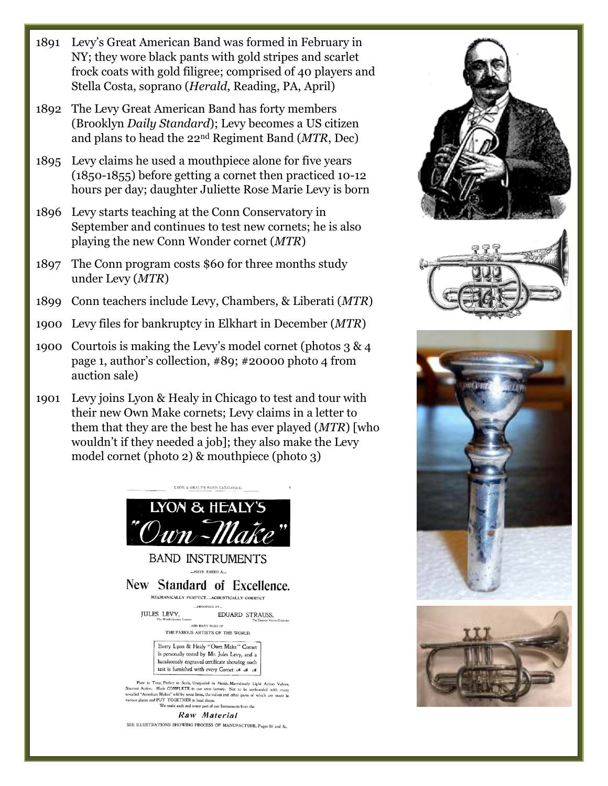- 1891 Levy's Great American Band was formed in February in NY; they wore black pants with gold stripes and scarlet frock coats with gold filigree; comprised of 40 players and Stella Costa, soprano (*Herald*, Reading, PA, April)
- 1892 The Levy Great American Band has forty members (Brooklyn *Daily Standard*); Levy becomes a US citizen and plans to head the 22nd Regiment Band (*MTR*, Dec)
- 1895 Levy claims he used a mouthpiece alone for five years (1850-1855) before getting a cornet then practiced 10-12 hours per day; daughter Juliette Rose Marie Levy is born
- 1896 Levy starts teaching at the Conn Conservatory in September and continues to test new cornets; he is also playing the new Conn Wonder cornet (*MTR*)
- 1897 The Conn program costs \$60 for three months study under Levy (*MTR*)
- 1899 Conn teachers include Levy, Chambers, & Liberati (*MTR*)
- 1900 Levy files for bankruptcy in Elkhart in December (*MTR*)
- 1900 Courtois is making the Levy's model cornet (photos 3 & 4 page 1, author's collection, #89; #20000 photo 4 from auction sale)
- 1901 Levy joins Lyon & Healy in Chicago to test and tour with their new Own Make cornets; Levy claims in a letter to them that they are the best he has ever played (*MTR*) [who wouldn't if they needed a job]; they also make the Levy model cornet (photo 2) & mouthpiece (photo 3)



**BAND INSTRUMENTS** ...HAVE RAISED A....

New Standard of Excellence.

MECHANICALLY PERFECT....ACOUSTICALLY CORRECT ...ENDORSED BY.

**JULES LEVY.** EDUARD STRAUSS. Corneter AND MANY MORE OF

THE FAMOUS ARTISTS OF THE WORLD.

Every Lyon & Healy "Own Make" Cornet is personally tested by Mr. Jules Levy, and a handsomely engraved certificate showing such test is furnished with every Cornet & & &

Pure in Tone, Perfect in Scale, Unequaled in Finish, Marvelously Light Action Valvez, Shoriest Action. Made COMPLETE in our own factory. Not to be confounded with many so-called "American Makea" sold by some firms, the va We make each and every part of our Instruments from the

Raw Material SEE ILLUSTRATIONS SHOWING PROCESS OF MANUFACTURE, Pages 8b and 8c.